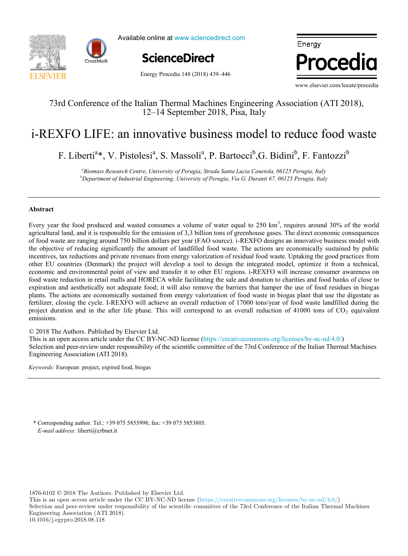



Available online at www.sciencedirect.com



, P. Ferrãoa<br>1970 - Paul Barnett, político<br>1970 - Paul Barnett, político

Energy Procedia 148 (2018) 439–446



www.elsevier.com/locate/procedia

,  $\alpha$  ,  $\alpha$  ,  $\alpha$  ,  $\alpha$ 

# 73rd Conference of the Italian Thermal Machines Engineering Association (ATI 2018), 73rd Conference of the Italian Thermal Machines Engineering Association (ATI 2018), 12–14 September 2018, Pisa, Italy

#### IFE: an innovative business model to reduce fo i-REXFO LIFE: an innovative business model to reduce food waste i-REXFO LIFE: an innovative business model to reduce food waste

F. Liberti<sup>a</sup>\*, V. Pistolesi<sup>a</sup>, S. Massoli<sup>a</sup>, P. Bartocci<sup>b</sup>, G. Bidini<sup>b</sup>, F. Fantozzi<sup>b</sup>  $\frac{1}{2}$ ,  $\frac{1}{2}$ ,  $\frac{1}{2}$ ,  $\frac{1}{2}$ ,  $\frac{1}{2}$ ,  $\frac{1}{2}$ ,  $\frac{1}{2}$ ,  $\frac{1}{2}$ ,  $\frac{1}{2}$ ,  $\frac{1}{2}$ ,  $\frac{1}{2}$ ,  $\frac{1}{2}$ ,  $\frac{1}{2}$ ,  $\frac{1}{2}$ ,  $\frac{1}{2}$ ,  $\frac{1}{2}$ ,  $\frac{1}{2}$ ,  $\frac{1}{2}$ ,  $\frac{1}{2}$ ,  $\frac{1}{2}$ , F. Liberti<sup>a</sup>\*, V. Pistolesi<sup>a</sup>, S. Massoli<sup>a</sup>, P. Bartocci<sup>b</sup>, G. Bidini<sup>b</sup>, F. Fantozzi<sup>b</sup>

<sup>a</sup>Biomass Research Centre, University of Perugia, Strada Santa Lucia Canetola, 06125 Perugia, Italy<br><sup>b</sup>Department of Industrial Engineering, University of Berugia, Via G. Dungui 67, 06125 Berugia, Italy *b Department of Industrial Engineering, University of Perugia, Via G. Duranti 67, 06125 Perugia, Italy*

,  $\frac{1}{2}$  ,  $\frac{1}{2}$  ,  $\frac{1}{2}$  ,  $\frac{1}{2}$  ,  $\frac{1}{2}$ 

., B. Lacarrièrec de la carrière

#### *a* **Abstract** *IN+ Center for Innovation, Technology and Policy Research - Instituto Superior Técnico, Av. Rovisco Pais 1, 1049-001 Lisbon, Portugal*

I. Andrić

a,b,c\*, A. Pinaa

Every year the food produced and wasted consumes a volume of water equal to 250 km<sup>3</sup>, requires around 30% of the world incentives, tax reductions and private revenues from energy valorization of residual food waste. Uptaking the good practices from economic and environmental point of view and transfer it to other EU regions. i-REXFO will increase consumer awareness on food waste reduction in retail malls and HORECA while facilitating the sale and donation to charities and food banks of close to expiration and aesthetically not adequate food; it will also remove the barriers that hamper the use of food residues in biogas plants. The actions are economically sustained from energy valorization of food waste in biogas plant that use the digestate as fertilizer, closing the cycle. I-REXFO will achieve an overall reduction of 17000 tons/year of food waste landfilled during the project duration and in the after life phase. This will correspond to an overall reduction of 41000 tons of CO<sub>2</sub> equivalent  $b$ undings that vary in both construction period and typology. The weather scenarios (low, medium, high) and three distriction  $\mathcal{L}$ agricultural land, and it is responsible for the emission of 3,3 billion tons of greenhouse gases. The direct economic consequences of food waste are ranging around 750 billion dollars per year (FAO source). i-REXFO designs an innovative business model with the objective of reducing significantly the amount of landfilled food waste. The actions are economically sustained by public other EU countries (Denmark) the project will develop a tool to design the integrated model, optimize it from a technical, emissions.

© 2018 The Authors. Published by Elsevier Ltd.

C 2018 The Authors. Published by Eisevier Ltd.<br>This is an open access article under the CC BY-NC-ND license [\(https://creativecommons.org/licenses/by-nc-nd/4.0/](https://creativecommons.org/licenses/by-nc-nd/4.0/)) Selection and peer-review under responsibility of the scientific committee of the 73rd Conference of the Italian Thermal Machines Engineering Association (ATI 2018).  $\mathcal{L}$ 

decrease in the number of heating hours of 22-139h during the heating season (depending on the combination of weather and

scenarios, the error value increased up to 59.5% (depending on the weather and renovation scenarios combination considered). *Keywords:* European project, expired food, biogas *Keywords:* European project, expired food, biogas

© 2017 The Authors. Published by Elsevier Ltd. \* Corresponding author. Tel.: +39 075 5853998; fax: +39 075 5853805. E-mail address: liberti@crbnet.it<br>E-mail address: liberti@crbnet.it

1876-6102 © 2017 The Authors. Published by Elsevier Ltd. 1876-6102 © 2018 The Authors. Published by Elsevier Ltd.

This is an open access article under the CC BY-NC-ND license (https://creativecommons.org/licenses/by-nc-nd/4.0/) Selection and peer-review under responsibility of the scientific committee of the 73rd Conference of the Italian Thermal Machines Engineering Association (ATI 2018). 10.1016/j.egypro.2018.08.118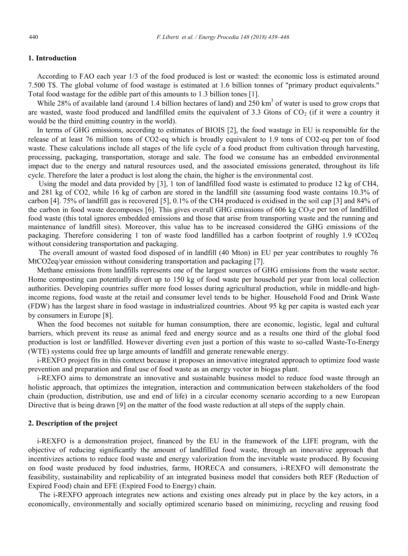# **1. Introduction**

According to FAO each year 1/3 of the food produced is lost or wasted: the economic loss is estimated around 7.500 T\$. The global volume of food wastage is estimated at 1.6 billion tonnes of "primary product equivalents." Total food wastage for the edible part of this amounts to 1.3 billion tones [1].

While 28% of available land (around 1.4 billion hectares of land) and 250 km<sup>3</sup> of water is used to grow crops that are wasted, waste food produced and landfilled emits the equivalent of 3.3 Gtons of  $CO<sub>2</sub>$  (if it were a country it would be the third emitting country in the world).

In terms of GHG emissions, according to estimates of BIOIS [2], the food wastage in EU is responsible for the release of at least 76 million tons of CO2-eq which is broadly equivalent to 1.9 tons of CO2-eq per ton of food waste. These calculations include all stages of the life cycle of a food product from cultivation through harvesting, processing, packaging, transportation, storage and sale. The food we consume has an embedded environmental impact due to the energy and natural resources used, and the associated emissions generated, throughout its life cycle. Therefore the later a product is lost along the chain, the higher is the environmental cost.

Using the model and data provided by [3], 1 ton of landfilled food waste is estimated to produce 12 kg of CH4, and 281 kg of CO2, while 16 kg of carbon are stored in the landfill site (assuming food waste contains 10.3% of carbon [4]. 75% of landfill gas is recovered [5], 0.1% of the CH4 produced is oxidised in the soil cap [3] and 84% of the carbon in food waste decomposes [6]. This gives overall GHG emissions of 606 kg  $CO<sub>2</sub>$  per ton of landfilled food waste (this total ignores embedded emissions and those that arise from transporting waste and the running and maintenance of landfill sites). Moreover, this value has to be increased considered the GHG emissions of the packaging. Therefore considering 1 ton of waste food landfilled has a carbon footprint of roughly 1.9 tCO2eq without considering transportation and packaging.

The overall amount of wasted food disposed of in landfill (40 Mton) in EU per year contributes to roughly 76 MtCO2eq/year emission without considering transportation and packaging [7].

Methane emissions from landfills represents one of the largest sources of GHG emissions from the waste sector. Home composting can potentially divert up to 150 kg of food waste per household per year from local collection authorities. Developing countries suffer more food losses during agricultural production, while in middle-and highincome regions, food waste at the retail and consumer level tends to be higher. Household Food and Drink Waste (FDW) has the largest share in food wastage in industrialized countries. About 95 kg per capita is wasted each year by consumers in Europe [8].

When the food becomes not suitable for human consumption, there are economic, logistic, legal and cultural barriers, which prevent its reuse as animal feed and energy source and as a results one third of the global food production is lost or landfilled. However diverting even just a portion of this waste to so-called Waste-To-Energy (WTE) systems could free up large amounts of landfill and generate renewable energy.

i-REXFO project fits in this context because it proposes an innovative integrated approach to optimize food waste prevention and preparation and final use of food waste as an energy vector in biogas plant.

i-REXFO aims to demonstrate an innovative and sustainable business model to reduce food waste through an holistic approach, that optimizes the integration, interaction and communication between stakeholders of the food chain (production, distribution, use and end of life) in a circular economy scenario according to a new European Directive that is being drawn [9] on the matter of the food waste reduction at all steps of the supply chain.

### **2. Description of the project**

i-REXFO is a demonstration project, financed by the EU in the framework of the LIFE program, with the objective of reducing significantly the amount of landfilled food waste, through an innovative approach that incentivizes actions to reduce food waste and energy valorization from the inevitable waste produced. By focusing on food waste produced by food industries, farms, HORECA and consumers, i-REXFO will demonstrate the feasibility, sustainability and replicability of an integrated business model that considers both REF (Reduction of Expired Food) chain and EFE (Expired Food to Energy) chain.

The i-REXFO approach integrates new actions and existing ones already put in place by the key actors, in a economically, environmentally and socially optimized scenario based on minimizing, recycling and reusing food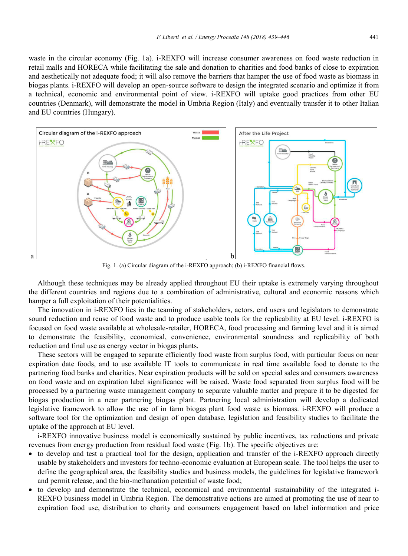waste in the circular economy (Fig. 1a). i-REXFO will increase consumer awareness on food waste reduction in retail malls and HORECA while facilitating the sale and donation to charities and food banks of close to expiration and aesthetically not adequate food; it will also remove the barriers that hamper the use of food waste as biomass in biogas plants. i-REXFO will develop an open-source software to design the integrated scenario and optimize it from a technical, economic and environmental point of view. i-REXFO will uptake good practices from other EU countries (Denmark), will demonstrate the model in Umbria Region (Italy) and eventually transfer it to other Italian and EU countries (Hungary).



Fig. 1. (a) Circular diagram of the i-REXFO approach; (b) i-REXFO financial flows.

Although these techniques may be already applied throughout EU their uptake is extremely varying throughout the different countries and regions due to a combination of administrative, cultural and economic reasons which hamper a full exploitation of their potentialities.

The innovation in i-REXFO lies in the teaming of stakeholders, actors, end users and legislators to demonstrate sound reduction and reuse of food waste and to produce usable tools for the replicability at EU level. i-REXFO is focused on food waste available at wholesale-retailer, HORECA, food processing and farming level and it is aimed to demonstrate the feasibility, economical, convenience, environmental soundness and replicability of both reduction and final use as energy vector in biogas plants.

These sectors will be engaged to separate efficiently food waste from surplus food, with particular focus on near expiration date foods, and to use available IT tools to communicate in real time available food to donate to the partnering food banks and charities. Near expiration products will be sold on special sales and consumers awareness on food waste and on expiration label significance will be raised. Waste food separated from surplus food will be processed by a partnering waste management company to separate valuable matter and prepare it to be digested for biogas production in a near partnering biogas plant. Partnering local administration will develop a dedicated legislative framework to allow the use of in farm biogas plant food waste as biomass. i-REXFO will produce a software tool for the optimization and design of open database, legislation and feasibility studies to facilitate the uptake of the approach at EU level.

i-REXFO innovative business model is economically sustained by public incentives, tax reductions and private revenues from energy production from residual food waste (Fig. 1b). The specific objectives are:

- to develop and test a practical tool for the design, application and transfer of the i-REXFO approach directly usable by stakeholders and investors for techno-economic evaluation at European scale. The tool helps the user to define the geographical area, the feasibility studies and business models, the guidelines for legislative framework and permit release, and the bio-methanation potential of waste food;
- to develop and demonstrate the technical, economical and environmental sustainability of the integrated i-REXFO business model in Umbria Region. The demonstrative actions are aimed at promoting the use of near to expiration food use, distribution to charity and consumers engagement based on label information and price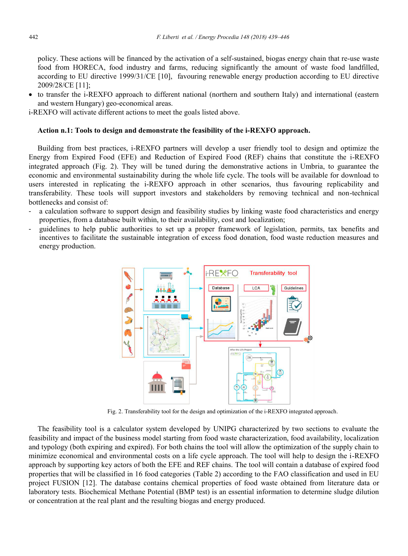policy. These actions will be financed by the activation of a self-sustained, biogas energy chain that re-use waste food from HORECA, food industry and farms, reducing significantly the amount of waste food landfilled, according to EU directive 1999/31/CE [10], favouring renewable energy production according to EU directive 2009/28/CE [11];

 to transfer the i-REXFO approach to different national (northern and southern Italy) and international (eastern and western Hungary) geo-economical areas.

i-REXFO will activate different actions to meet the goals listed above.

# **Action n.1: Tools to design and demonstrate the feasibility of the i-REXFO approach.**

Building from best practices, i-REXFO partners will develop a user friendly tool to design and optimize the Energy from Expired Food (EFE) and Reduction of Expired Food (REF) chains that constitute the i-REXFO integrated approach (Fig. 2). They will be tuned during the demonstrative actions in Umbria, to guarantee the economic and environmental sustainability during the whole life cycle. The tools will be available for download to users interested in replicating the i-REXFO approach in other scenarios, thus favouring replicability and transferability. These tools will support investors and stakeholders by removing technical and non-technical bottlenecks and consist of:

- a calculation software to support design and feasibility studies by linking waste food characteristics and energy properties, from a database built within, to their availability, cost and localization;
- guidelines to help public authorities to set up a proper framework of legislation, permits, tax benefits and incentives to facilitate the sustainable integration of excess food donation, food waste reduction measures and energy production.



Fig. 2. Transferability tool for the design and optimization of the i-REXFO integrated approach.

The feasibility tool is a calculator system developed by UNIPG characterized by two sections to evaluate the feasibility and impact of the business model starting from food waste characterization, food availability, localization and typology (both expiring and expired). For both chains the tool will allow the optimization of the supply chain to minimize economical and environmental costs on a life cycle approach. The tool will help to design the i-REXFO approach by supporting key actors of both the EFE and REF chains. The tool will contain a database of expired food properties that will be classified in 16 food categories (Table 2) according to the FAO classification and used in EU project FUSION [12]. The database contains chemical properties of food waste obtained from literature data or laboratory tests. Biochemical Methane Potential (BMP test) is an essential information to determine sludge dilution or concentration at the real plant and the resulting biogas and energy produced.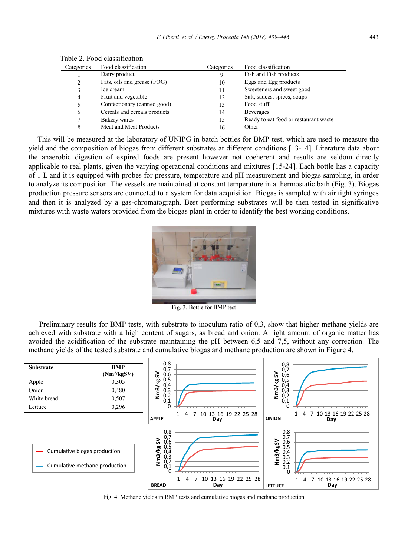| Categories | Food classification          | Categories | Food classification                   |
|------------|------------------------------|------------|---------------------------------------|
|            | Dairy product                | 9          | Fish and Fish products                |
| 2          | Fats, oils and grease (FOG)  | 10         | Eggs and Egg products                 |
| 3          | Ice cream                    | 11         | Sweeteners and sweet good             |
| 4          | Fruit and vegetable          | 12         | Salt, sauces, spices, soups           |
| 5          | Confectionary (canned good)  | 13         | Food stuff                            |
| 6          | Cereals and cereals products | 14         | <b>Beverages</b>                      |
|            | Bakery wares                 | 15         | Ready to eat food or restaurant waste |
| 8          | Meat and Meat Products       | 16         | Other                                 |

Table 2. Food classification

This will be measured at the laboratory of UNIPG in batch bottles for BMP test, which are used to measure the yield and the composition of biogas from different substrates at different conditions [13-14]. Literature data about the anaerobic digestion of expired foods are present however not coeherent and results are seldom directly applicable to real plants, given the varying operational conditions and mixtures [15-24]. Each bottle has a capacity of 1 L and it is equipped with probes for pressure, temperature and pH measurement and biogas sampling, in order to analyze its composition. The vessels are maintained at constant temperature in a thermostatic bath (Fig. 3). Biogas production pressure sensors are connected to a system for data acquisition. Biogas is sampled with air tight syringes and then it is analyzed by a gas-chromatograph. Best performing substrates will be then tested in significative mixtures with waste waters provided from the biogas plant in order to identify the best working conditions.



Fig. 3. Bottle for BMP test

Preliminary results for BMP tests, with substrate to inoculum ratio of 0,3, show that higher methane yields are achieved with substrate with a high content of sugars, as bread and onion. A right amount of organic matter has avoided the acidification of the substrate maintaining the pH between 6,5 and 7,5, without any correction. The methane yields of the tested substrate and cumulative biogas and methane production are shown in Figure 4.



Fig. 4. Methane yields in BMP tests and cumulative biogas and methane production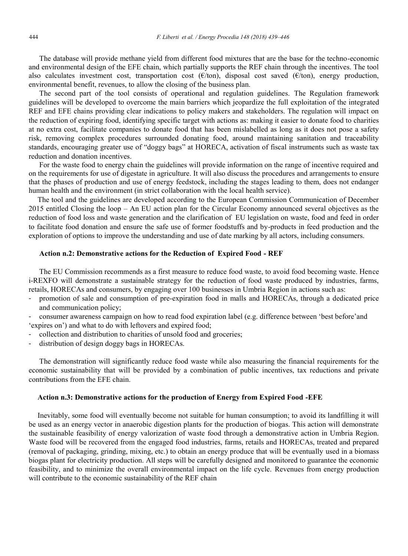The database will provide methane yield from different food mixtures that are the base for the techno-economic and environmental design of the EFE chain, which partially supports the REF chain through the incentives. The tool also calculates investment cost, transportation cost ( $\epsilon$ /ton), disposal cost saved ( $\epsilon$ /ton), energy production, environmental benefit, revenues, to allow the closing of the business plan.

The second part of the tool consists of operational and regulation guidelines. The Regulation framework guidelines will be developed to overcome the main barriers which jeopardize the full exploitation of the integrated REF and EFE chains providing clear indications to policy makers and stakeholders. The regulation will impact on the reduction of expiring food, identifying specific target with actions as: making it easier to donate food to charities at no extra cost, facilitate companies to donate food that has been mislabelled as long as it does not pose a safety risk, removing complex procedures surrounded donating food, around maintaining sanitation and traceability standards, encouraging greater use of "doggy bags" at HORECA, activation of fiscal instruments such as waste tax reduction and donation incentives.

For the waste food to energy chain the guidelines will provide information on the range of incentive required and on the requirements for use of digestate in agriculture. It will also discuss the procedures and arrangements to ensure that the phases of production and use of energy feedstock, including the stages leading to them, does not endanger human health and the environment (in strict collaboration with the local health service).

The tool and the guidelines are developed according to the European Commission Communication of December 2015 entitled Closing the loop – An EU action plan for the Circular Economy announced several objectives as the reduction of food loss and waste generation and the clarification of EU legislation on waste, food and feed in order to facilitate food donation and ensure the safe use of former foodstuffs and by-products in feed production and the exploration of options to improve the understanding and use of date marking by all actors, including consumers.

# **Action n.2: Demonstrative actions for the Reduction of Expired Food - REF**

The EU Commission recommends as a first measure to reduce food waste, to avoid food becoming waste. Hence i-REXFO will demonstrate a sustainable strategy for the reduction of food waste produced by industries, farms, retails, HORECAs and consumers, by engaging over 100 businesses in Umbria Region in actions such as:

- promotion of sale and consumption of pre-expiration food in malls and HORECAs, through a dedicated price and communication policy;
- consumer awareness campaign on how to read food expiration label (e.g. difference between 'best before'and 'expires on') and what to do with leftovers and expired food;
- collection and distribution to charities of unsold food and groceries;
- distribution of design doggy bags in HORECAs.

The demonstration will significantly reduce food waste while also measuring the financial requirements for the economic sustainability that will be provided by a combination of public incentives, tax reductions and private contributions from the EFE chain.

### **Action n.3: Demonstrative actions for the production of Energy from Expired Food -EFE**

Inevitably, some food will eventually become not suitable for human consumption; to avoid its landfilling it will be used as an energy vector in anaerobic digestion plants for the production of biogas. This action will demonstrate the sustainable feasibility of energy valorization of waste food through a demonstrative action in Umbria Region. Waste food will be recovered from the engaged food industries, farms, retails and HORECAs, treated and prepared (removal of packaging, grinding, mixing, etc.) to obtain an energy produce that will be eventually used in a biomass biogas plant for electricity production. All steps will be carefully designed and monitored to guarantee the economic feasibility, and to minimize the overall environmental impact on the life cycle. Revenues from energy production will contribute to the economic sustainability of the REF chain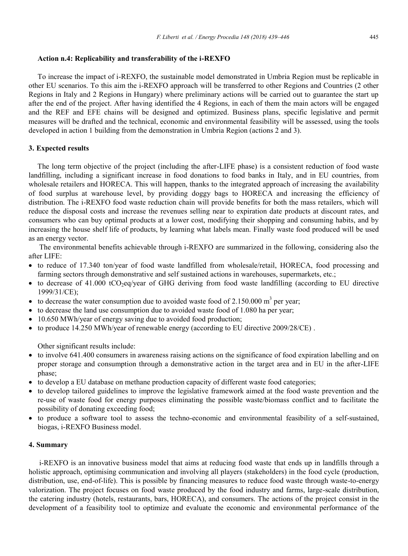### **Action n.4: Replicability and transferability of the i-REXFO**

To increase the impact of i-REXFO, the sustainable model demonstrated in Umbria Region must be replicable in other EU scenarios. To this aim the i-REXFO approach will be transferred to other Regions and Countries (2 other Regions in Italy and 2 Regions in Hungary) where preliminary actions will be carried out to guarantee the start up after the end of the project. After having identified the 4 Regions, in each of them the main actors will be engaged and the REF and EFE chains will be designed and optimized. Business plans, specific legislative and permit measures will be drafted and the technical, economic and environmental feasibility will be assessed, using the tools developed in action 1 building from the demonstration in Umbria Region (actions 2 and 3).

# **3. Expected results**

The long term objective of the project (including the after-LIFE phase) is a consistent reduction of food waste landfilling, including a significant increase in food donations to food banks in Italy, and in EU countries, from wholesale retailers and HORECA. This will happen, thanks to the integrated approach of increasing the availability of food surplus at warehouse level, by providing doggy bags to HORECA and increasing the efficiency of distribution. The i-REXFO food waste reduction chain will provide benefits for both the mass retailers, which will reduce the disposal costs and increase the revenues selling near to expiration date products at discount rates, and consumers who can buy optimal products at a lower cost, modifying their shopping and consuming habits, and by increasing the house shelf life of products, by learning what labels mean. Finally waste food produced will be used as an energy vector.

The environmental benefits achievable through i-REXFO are summarized in the following, considering also the after LIFE:

- to reduce of 17.340 ton/year of food waste landfilled from wholesale/retail, HORECA, food processing and farming sectors through demonstrative and self sustained actions in warehouses, supermarkets, etc.;
- to decrease of 41.000 tCO<sub>2</sub>eq/year of GHG deriving from food waste landfilling (according to EU directive 1999/31/CE);
- to decrease the water consumption due to avoided waste food of 2.150.000  $m<sup>3</sup>$  per year;
- $\bullet$  to decrease the land use consumption due to avoided waste food of 1.080 ha per year;
- 10.650 MWh/year of energy saving due to avoided food production;
- to produce 14.250 MWh/year of renewable energy (according to EU directive 2009/28/CE).

Other significant results include:

- to involve 641.400 consumers in awareness raising actions on the significance of food expiration labelling and on proper storage and consumption through a demonstrative action in the target area and in EU in the after-LIFE phase;
- to develop a EU database on methane production capacity of different waste food categories;
- to develop tailored guidelines to improve the legislative framework aimed at the food waste prevention and the re-use of waste food for energy purposes eliminating the possible waste/biomass conflict and to facilitate the possibility of donating exceeding food;
- to produce a software tool to assess the techno-economic and environmental feasibility of a self-sustained, biogas, i-REXFO Business model.

# **4. Summary**

i-REXFO is an innovative business model that aims at reducing food waste that ends up in landfills through a holistic approach, optimising communication and involving all players (stakeholders) in the food cycle (production, distribution, use, end-of-life). This is possible by financing measures to reduce food waste through waste-to-energy valorization. The project focuses on food waste produced by the food industry and farms, large-scale distribution, the catering industry (hotels, restaurants, bars, HORECA), and consumers. The actions of the project consist in the development of a feasibility tool to optimize and evaluate the economic and environmental performance of the